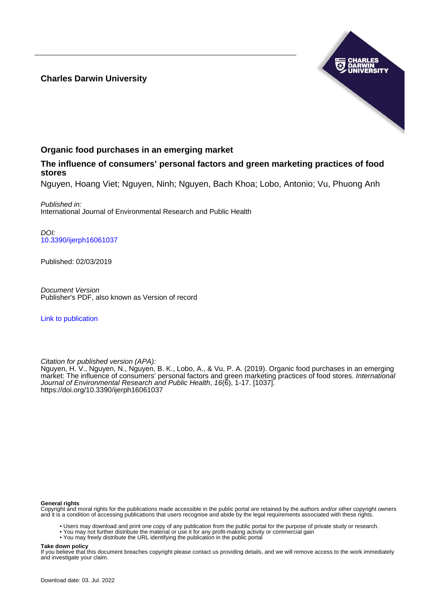## **Charles Darwin University**



## **Organic food purchases in an emerging market**

## **The influence of consumers' personal factors and green marketing practices of food stores**

Nguyen, Hoang Viet; Nguyen, Ninh; Nguyen, Bach Khoa; Lobo, Antonio; Vu, Phuong Anh

Published in: International Journal of Environmental Research and Public Health

DOI: [10.3390/ijerph16061037](https://doi.org/10.3390/ijerph16061037)

Published: 02/03/2019

Document Version Publisher's PDF, also known as Version of record

[Link to publication](https://researchers.cdu.edu.au/en/publications/1ebcee21-ab86-4bdb-8280-17ad946d94a0)

Citation for published version (APA):

Nguyen, H. V., Nguyen, N., Nguyen, B. K., Lobo, A., & Vu, P. A. (2019). Organic food purchases in an emerging market: The influence of consumers' personal factors and green marketing practices of food stores. International Journal of Environmental Research and Public Health, 16(6), 1-17. [1037]. <https://doi.org/10.3390/ijerph16061037>

#### **General rights**

Copyright and moral rights for the publications made accessible in the public portal are retained by the authors and/or other copyright owners and it is a condition of accessing publications that users recognise and abide by the legal requirements associated with these rights.

- Users may download and print one copy of any publication from the public portal for the purpose of private study or research.
- You may not further distribute the material or use it for any profit-making activity or commercial gain
- You may freely distribute the URL identifying the publication in the public portal

#### **Take down policy**

If you believe that this document breaches copyright please contact us providing details, and we will remove access to the work immediately and investigate your claim.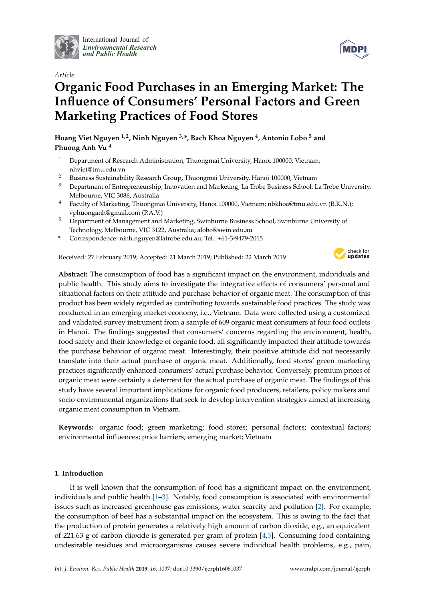

International Journal of *[Environmental Research](http://www.mdpi.com/journal/ijerph) and Public Health*

## *Article*

# **Organic Food Purchases in an Emerging Market: The Influence of Consumers' Personal Factors and Green Marketing Practices of Food Stores**

**Hoang Viet Nguyen 1,2, Ninh Nguyen 3,\*, Bach Khoa Nguyen <sup>4</sup> , Antonio Lobo <sup>5</sup> and Phuong Anh Vu <sup>4</sup>**

- <sup>1</sup> Department of Research Administration, Thuongmai University, Hanoi 100000, Vietnam; nhviet@tmu.edu.vn
- <sup>2</sup> Business Sustainability Research Group, Thuongmai University, Hanoi 100000, Vietnam<sup>3</sup> Department of Entrepreneurship Innovation and Marketing, La Trobe Business School, L
- <sup>3</sup> Department of Entrepreneurship, Innovation and Marketing, La Trobe Business School, La Trobe University, Melbourne, VIC 3086, Australia
- <sup>4</sup> Faculty of Marketing, Thuongmai University, Hanoi 100000, Vietnam; nbkhoa@tmu.edu.vn (B.K.N.); vphuonganh@gmail.com (P.A.V.)
- <sup>5</sup> Department of Management and Marketing, Swinburne Business School, Swinburne University of Technology, Melbourne, VIC 3122, Australia; alobo@swin.edu.au
- **\*** Correspondence: ninh.nguyen@latrobe.edu.au; Tel.: +61-3-9479-2015

Received: 27 February 2019; Accepted: 21 March 2019; Published: 22 March 2019



**MDP** 

**Abstract:** The consumption of food has a significant impact on the environment, individuals and public health. This study aims to investigate the integrative effects of consumers' personal and situational factors on their attitude and purchase behavior of organic meat. The consumption of this product has been widely regarded as contributing towards sustainable food practices. The study was conducted in an emerging market economy, i.e., Vietnam. Data were collected using a customized and validated survey instrument from a sample of 609 organic meat consumers at four food outlets in Hanoi. The findings suggested that consumers' concerns regarding the environment, health, food safety and their knowledge of organic food, all significantly impacted their attitude towards the purchase behavior of organic meat. Interestingly, their positive attitude did not necessarily translate into their actual purchase of organic meat. Additionally, food stores' green marketing practices significantly enhanced consumers' actual purchase behavior. Conversely, premium prices of organic meat were certainly a deterrent for the actual purchase of organic meat. The findings of this study have several important implications for organic food producers, retailers, policy makers and socio-environmental organizations that seek to develop intervention strategies aimed at increasing organic meat consumption in Vietnam.

**Keywords:** organic food; green marketing; food stores; personal factors; contextual factors; environmental influences; price barriers; emerging market; Vietnam

### **1. Introduction**

It is well known that the consumption of food has a significant impact on the environment, individuals and public health [\[1–](#page-14-0)[3\]](#page-14-1). Notably, food consumption is associated with environmental issues such as increased greenhouse gas emissions, water scarcity and pollution [\[2\]](#page-14-2). For example, the consumption of beef has a substantial impact on the ecosystem. This is owing to the fact that the production of protein generates a relatively high amount of carbon dioxide, e.g., an equivalent of 221.63 g of carbon dioxide is generated per gram of protein [\[4](#page-14-3)[,5\]](#page-14-4). Consuming food containing undesirable residues and microorganisms causes severe individual health problems, e.g., pain,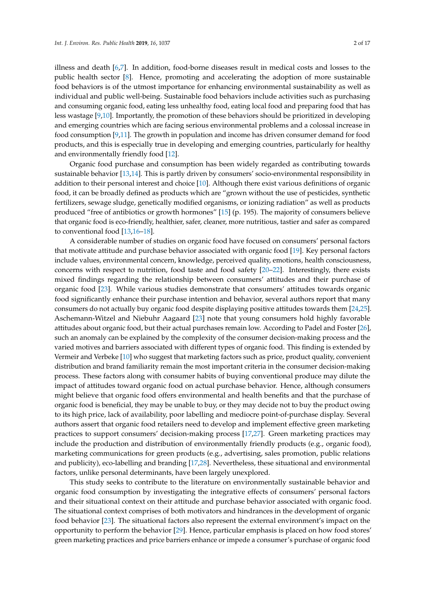illness and death [\[6,](#page-14-5)[7\]](#page-14-6). In addition, food-borne diseases result in medical costs and losses to the public health sector [\[8\]](#page-14-7). Hence, promoting and accelerating the adoption of more sustainable food behaviors is of the utmost importance for enhancing environmental sustainability as well as individual and public well-being. Sustainable food behaviors include activities such as purchasing and consuming organic food, eating less unhealthy food, eating local food and preparing food that has less wastage [\[9,](#page-14-8)[10\]](#page-14-9). Importantly, the promotion of these behaviors should be prioritized in developing and emerging countries which are facing serious environmental problems and a colossal increase in food consumption [\[9,](#page-14-8)[11\]](#page-14-10). The growth in population and income has driven consumer demand for food products, and this is especially true in developing and emerging countries, particularly for healthy and environmentally friendly food [\[12\]](#page-14-11).

Organic food purchase and consumption has been widely regarded as contributing towards sustainable behavior [\[13](#page-14-12)[,14\]](#page-14-13). This is partly driven by consumers' socio-environmental responsibility in addition to their personal interest and choice [\[10\]](#page-14-9). Although there exist various definitions of organic food, it can be broadly defined as products which are "grown without the use of pesticides, synthetic fertilizers, sewage sludge, genetically modified organisms, or ionizing radiation" as well as products produced "free of antibiotics or growth hormones" [\[15\]](#page-14-14) (p. 195). The majority of consumers believe that organic food is eco-friendly, healthier, safer, cleaner, more nutritious, tastier and safer as compared to conventional food [\[13](#page-14-12)[,16–](#page-14-15)[18\]](#page-14-16).

A considerable number of studies on organic food have focused on consumers' personal factors that motivate attitude and purchase behavior associated with organic food [\[19\]](#page-14-17). Key personal factors include values, environmental concern, knowledge, perceived quality, emotions, health consciousness, concerns with respect to nutrition, food taste and food safety [\[20](#page-14-18)[–22\]](#page-14-19). Interestingly, there exists mixed findings regarding the relationship between consumers' attitudes and their purchase of organic food [\[23\]](#page-14-20). While various studies demonstrate that consumers' attitudes towards organic food significantly enhance their purchase intention and behavior, several authors report that many consumers do not actually buy organic food despite displaying positive attitudes towards them [\[24](#page-14-21)[,25\]](#page-15-0). Aschemann-Witzel and Niebuhr Aagaard [\[23\]](#page-14-20) note that young consumers hold highly favorable attitudes about organic food, but their actual purchases remain low. According to Padel and Foster [\[26\]](#page-15-1), such an anomaly can be explained by the complexity of the consumer decision-making process and the varied motives and barriers associated with different types of organic food. This finding is extended by Vermeir and Verbeke [\[10\]](#page-14-9) who suggest that marketing factors such as price, product quality, convenient distribution and brand familiarity remain the most important criteria in the consumer decision-making process. These factors along with consumer habits of buying conventional produce may dilute the impact of attitudes toward organic food on actual purchase behavior. Hence, although consumers might believe that organic food offers environmental and health benefits and that the purchase of organic food is beneficial, they may be unable to buy, or they may decide not to buy the product owing to its high price, lack of availability, poor labelling and mediocre point-of-purchase display. Several authors assert that organic food retailers need to develop and implement effective green marketing practices to support consumers' decision-making process [\[17](#page-14-22)[,27\]](#page-15-2). Green marketing practices may include the production and distribution of environmentally friendly products (e.g., organic food), marketing communications for green products (e.g., advertising, sales promotion, public relations and publicity), eco-labelling and branding [\[17](#page-14-22)[,28\]](#page-15-3). Nevertheless, these situational and environmental factors, unlike personal determinants, have been largely unexplored.

This study seeks to contribute to the literature on environmentally sustainable behavior and organic food consumption by investigating the integrative effects of consumers' personal factors and their situational context on their attitude and purchase behavior associated with organic food. The situational context comprises of both motivators and hindrances in the development of organic food behavior [\[23\]](#page-14-20). The situational factors also represent the external environment's impact on the opportunity to perform the behavior [\[29\]](#page-15-4). Hence, particular emphasis is placed on how food stores' green marketing practices and price barriers enhance or impede a consumer's purchase of organic food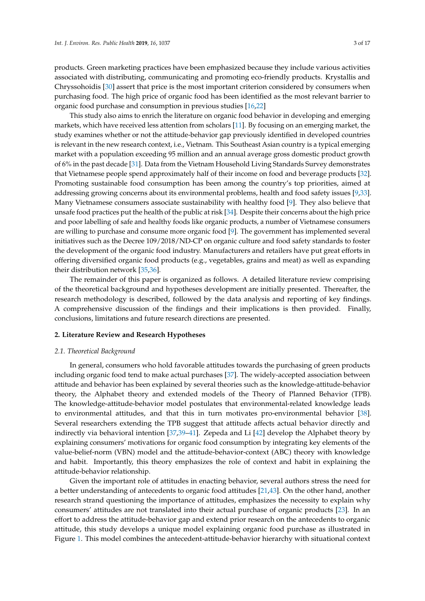products. Green marketing practices have been emphasized because they include various activities associated with distributing, communicating and promoting eco-friendly products. Krystallis and Chryssohoidis [\[30\]](#page-15-5) assert that price is the most important criterion considered by consumers when purchasing food. The high price of organic food has been identified as the most relevant barrier to organic food purchase and consumption in previous studies [\[16,](#page-14-15)[22\]](#page-14-19)

This study also aims to enrich the literature on organic food behavior in developing and emerging markets, which have received less attention from scholars [\[11\]](#page-14-10). By focusing on an emerging market, the study examines whether or not the attitude-behavior gap previously identified in developed countries is relevant in the new research context, i.e., Vietnam. This Southeast Asian country is a typical emerging market with a population exceeding 95 million and an annual average gross domestic product growth of 6% in the past decade [\[31\]](#page-15-6). Data from the Vietnam Household Living Standards Survey demonstrates that Vietnamese people spend approximately half of their income on food and beverage products [\[32\]](#page-15-7). Promoting sustainable food consumption has been among the country's top priorities, aimed at addressing growing concerns about its environmental problems, health and food safety issues [\[9,](#page-14-8)[33\]](#page-15-8). Many Vietnamese consumers associate sustainability with healthy food [\[9\]](#page-14-8). They also believe that unsafe food practices put the health of the public at risk [\[34\]](#page-15-9). Despite their concerns about the high price and poor labelling of safe and healthy foods like organic products, a number of Vietnamese consumers are willing to purchase and consume more organic food [\[9\]](#page-14-8). The government has implemented several initiatives such as the Decree 109/2018/ND-CP on organic culture and food safety standards to foster the development of the organic food industry. Manufacturers and retailers have put great efforts in offering diversified organic food products (e.g., vegetables, grains and meat) as well as expanding their distribution network [\[35,](#page-15-10)[36\]](#page-15-11).

The remainder of this paper is organized as follows. A detailed literature review comprising of the theoretical background and hypotheses development are initially presented. Thereafter, the research methodology is described, followed by the data analysis and reporting of key findings. A comprehensive discussion of the findings and their implications is then provided. Finally, conclusions, limitations and future research directions are presented.

#### **2. Literature Review and Research Hypotheses**

#### *2.1. Theoretical Background*

In general, consumers who hold favorable attitudes towards the purchasing of green products including organic food tend to make actual purchases [\[37\]](#page-15-12). The widely-accepted association between attitude and behavior has been explained by several theories such as the knowledge-attitude-behavior theory, the Alphabet theory and extended models of the Theory of Planned Behavior (TPB). The knowledge-attitude-behavior model postulates that environmental-related knowledge leads to environmental attitudes, and that this in turn motivates pro-environmental behavior [\[38\]](#page-15-13). Several researchers extending the TPB suggest that attitude affects actual behavior directly and indirectly via behavioral intention [\[37](#page-15-12)[,39–](#page-15-14)[41\]](#page-15-15). Zepeda and Li [\[42\]](#page-15-16) develop the Alphabet theory by explaining consumers' motivations for organic food consumption by integrating key elements of the value-belief-norm (VBN) model and the attitude-behavior-context (ABC) theory with knowledge and habit. Importantly, this theory emphasizes the role of context and habit in explaining the attitude-behavior relationship.

Given the important role of attitudes in enacting behavior, several authors stress the need for a better understanding of antecedents to organic food attitudes [\[21,](#page-14-23)[43\]](#page-15-17). On the other hand, another research strand questioning the importance of attitudes, emphasizes the necessity to explain why consumers' attitudes are not translated into their actual purchase of organic products [\[23\]](#page-14-20). In an effort to address the attitude-behavior gap and extend prior research on the antecedents to organic attitude, this study develops a unique model explaining organic food purchase as illustrated in Figure [1.](#page-4-0) This model combines the antecedent-attitude-behavior hierarchy with situational context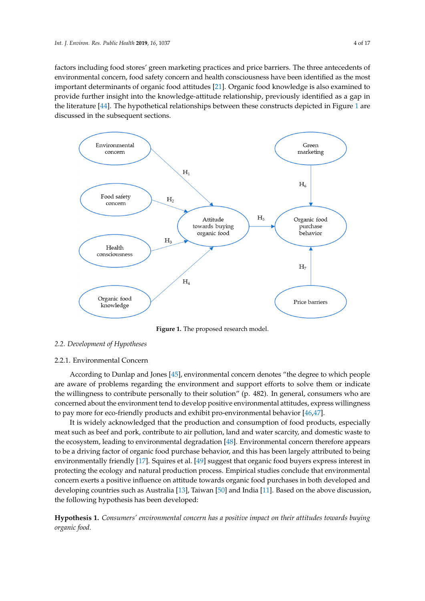factors including food stores' green marketing practices and price barriers. The three antecedents of environmental concern, food safety concern and health consciousness have been identified as the most important determinants of organic food attitudes [\[21\]](#page-14-23). Organic food knowledge is also examined to provide further insight into the knowledge-attitude relationship, previously identified as a gap in<br>example in the contract into the knowledge-attitude relationship, previously identified as a gap in the literature [\[44\]](#page-15-18). The hypothetical relationships between these constructs depicted in Figure [1](#page-4-0) are<br> discussed in the subsequent sections. Figure 1 are discussed in the subsequent sections.

<span id="page-4-0"></span>

**Figure 1.** The proposed research model. **Figure 1.** The proposed research model.

## *2.2. Development of Hypotheses 2.2. Development of Hypotheses*

## 2.2.1. Environmental Concern 2.2.1. Environmental Concern

According to Dunlap and Jones [45], environmental concern denotes "the degree to which According to Dunlap and Jones [\[45\]](#page-15-19), environmental concern denotes "the degree to which people are aware of problems regarding the environment and support efforts to solve them or indicate the willingness to contribute personally to their solution" (p. 482). In general, consumers who are the willing concerned about the environment tend to develop positive environmental attitudes, express willingness concerned to pay more for eco-friendly products and exhibit pro-environmental behavior [\[46](#page-15-20)[,47\]](#page-15-21).

It is widely acknowledged that the production and consumption of food products, especially It is widely acknowledged that the production and consumption of food products, especially meat such as beef and pork, contribute to air pollution, land and water scarcity, and domestic waste meat such as beef and pork, contribute to air pollution, land and water scarcity, and domestic waste to the ecosystem, leading to environmental degradation  $[48]$ . Environmental concern therefore appears  $\overline{\phantom{a}}$ to be a driving factor of organic food purchase behavior, and this has been largely attributed to being environmentally friendly [\[17\]](#page-14-22). Squires et al. [\[49\]](#page-16-0) suggest that organic food buyers express interest in protecting the ecology and natural production process. Empirical studies conclude that environmental production process. Empirical studies conclude that environmental concern exerts a positive influence on attitude towards organic food purchases in both developed and<br> developing countries such as Australia [\[13\]](#page-14-12), Taiwan [\[50\]](#page-16-1) and India [\[11\]](#page-14-10). Based on the above discussion, the following hypothesis has been developed:

Hypothesis 1. Consumers' environmental concern has a positive impact on their attitudes towards buying *organic food. organic food.*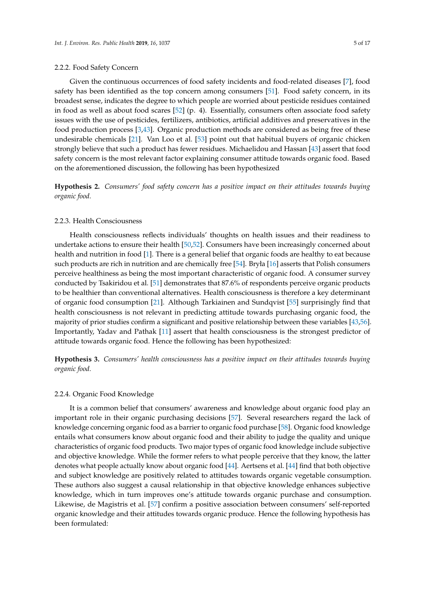#### 2.2.2. Food Safety Concern

Given the continuous occurrences of food safety incidents and food-related diseases [\[7\]](#page-14-6), food safety has been identified as the top concern among consumers [\[51\]](#page-16-2). Food safety concern, in its broadest sense, indicates the degree to which people are worried about pesticide residues contained in food as well as about food scares [\[52\]](#page-16-3) (p. 4). Essentially, consumers often associate food safety issues with the use of pesticides, fertilizers, antibiotics, artificial additives and preservatives in the food production process [\[3](#page-14-1)[,43\]](#page-15-17). Organic production methods are considered as being free of these undesirable chemicals [\[21\]](#page-14-23). Van Loo et al. [\[53\]](#page-16-4) point out that habitual buyers of organic chicken strongly believe that such a product has fewer residues. Michaelidou and Hassan [\[43\]](#page-15-17) assert that food safety concern is the most relevant factor explaining consumer attitude towards organic food. Based on the aforementioned discussion, the following has been hypothesized

**Hypothesis 2.** *Consumers' food safety concern has a positive impact on their attitudes towards buying organic food.*

#### 2.2.3. Health Consciousness

Health consciousness reflects individuals' thoughts on health issues and their readiness to undertake actions to ensure their health [\[50,](#page-16-1)[52\]](#page-16-3). Consumers have been increasingly concerned about health and nutrition in food [\[1\]](#page-14-0). There is a general belief that organic foods are healthy to eat because such products are rich in nutrition and are chemically free [\[54\]](#page-16-5). Bryła [\[16\]](#page-14-15) asserts that Polish consumers perceive healthiness as being the most important characteristic of organic food. A consumer survey conducted by Tsakiridou et al. [\[51\]](#page-16-2) demonstrates that 87.6% of respondents perceive organic products to be healthier than conventional alternatives. Health consciousness is therefore a key determinant of organic food consumption [\[21\]](#page-14-23). Although Tarkiainen and Sundqvist [\[55\]](#page-16-6) surprisingly find that health consciousness is not relevant in predicting attitude towards purchasing organic food, the majority of prior studies confirm a significant and positive relationship between these variables [\[43](#page-15-17)[,56\]](#page-16-7). Importantly, Yadav and Pathak [\[11\]](#page-14-10) assert that health consciousness is the strongest predictor of attitude towards organic food. Hence the following has been hypothesized:

**Hypothesis 3.** *Consumers' health consciousness has a positive impact on their attitudes towards buying organic food.*

#### 2.2.4. Organic Food Knowledge

It is a common belief that consumers' awareness and knowledge about organic food play an important role in their organic purchasing decisions [\[57\]](#page-16-8). Several researchers regard the lack of knowledge concerning organic food as a barrier to organic food purchase [\[58\]](#page-16-9). Organic food knowledge entails what consumers know about organic food and their ability to judge the quality and unique characteristics of organic food products. Two major types of organic food knowledge include subjective and objective knowledge. While the former refers to what people perceive that they know, the latter denotes what people actually know about organic food [\[44\]](#page-15-18). Aertsens et al. [\[44\]](#page-15-18) find that both objective and subject knowledge are positively related to attitudes towards organic vegetable consumption. These authors also suggest a causal relationship in that objective knowledge enhances subjective knowledge, which in turn improves one's attitude towards organic purchase and consumption. Likewise, de Magistris et al. [\[57\]](#page-16-8) confirm a positive association between consumers' self-reported organic knowledge and their attitudes towards organic produce. Hence the following hypothesis has been formulated: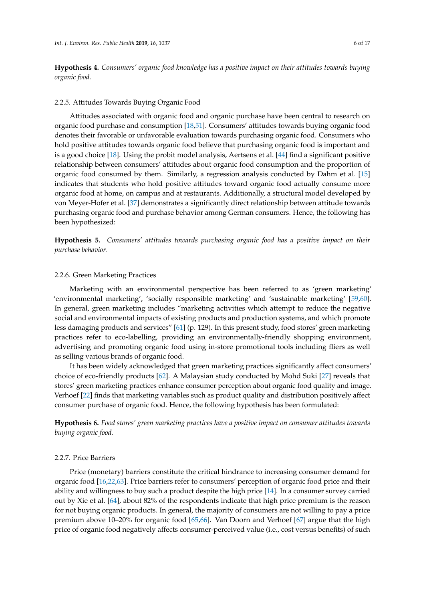**Hypothesis 4.** *Consumers' organic food knowledge has a positive impact on their attitudes towards buying organic food.*

#### 2.2.5. Attitudes Towards Buying Organic Food

Attitudes associated with organic food and organic purchase have been central to research on organic food purchase and consumption [\[18](#page-14-16)[,51\]](#page-16-2). Consumers' attitudes towards buying organic food denotes their favorable or unfavorable evaluation towards purchasing organic food. Consumers who hold positive attitudes towards organic food believe that purchasing organic food is important and is a good choice [\[18\]](#page-14-16). Using the probit model analysis, Aertsens et al. [\[44\]](#page-15-18) find a significant positive relationship between consumers' attitudes about organic food consumption and the proportion of organic food consumed by them. Similarly, a regression analysis conducted by Dahm et al. [\[15\]](#page-14-14) indicates that students who hold positive attitudes toward organic food actually consume more organic food at home, on campus and at restaurants. Additionally, a structural model developed by von Meyer-Hofer et al. [\[37\]](#page-15-12) demonstrates a significantly direct relationship between attitude towards purchasing organic food and purchase behavior among German consumers. Hence, the following has been hypothesized:

**Hypothesis 5.** *Consumers' attitudes towards purchasing organic food has a positive impact on their purchase behavior.*

#### 2.2.6. Green Marketing Practices

Marketing with an environmental perspective has been referred to as 'green marketing' 'environmental marketing', 'socially responsible marketing' and 'sustainable marketing' [\[59,](#page-16-10)[60\]](#page-16-11). In general, green marketing includes "marketing activities which attempt to reduce the negative social and environmental impacts of existing products and production systems, and which promote less damaging products and services" [\[61\]](#page-16-12) (p. 129). In this present study, food stores' green marketing practices refer to eco-labelling, providing an environmentally-friendly shopping environment, advertising and promoting organic food using in-store promotional tools including fliers as well as selling various brands of organic food.

It has been widely acknowledged that green marketing practices significantly affect consumers' choice of eco-friendly products [\[62\]](#page-16-13). A Malaysian study conducted by Mohd Suki [\[27\]](#page-15-2) reveals that stores' green marketing practices enhance consumer perception about organic food quality and image. Verhoef [\[22\]](#page-14-19) finds that marketing variables such as product quality and distribution positively affect consumer purchase of organic food. Hence, the following hypothesis has been formulated:

**Hypothesis 6.** *Food stores' green marketing practices have a positive impact on consumer attitudes towards buying organic food.*

#### 2.2.7. Price Barriers

Price (monetary) barriers constitute the critical hindrance to increasing consumer demand for organic food [\[16](#page-14-15)[,22](#page-14-19)[,63\]](#page-16-14). Price barriers refer to consumers' perception of organic food price and their ability and willingness to buy such a product despite the high price [\[14\]](#page-14-13). In a consumer survey carried out by Xie et al. [\[64\]](#page-16-15), about 82% of the respondents indicate that high price premium is the reason for not buying organic products. In general, the majority of consumers are not willing to pay a price premium above 10–20% for organic food [\[65,](#page-16-16)[66\]](#page-16-17). Van Doorn and Verhoef [\[67\]](#page-16-18) argue that the high price of organic food negatively affects consumer-perceived value (i.e., cost versus benefits) of such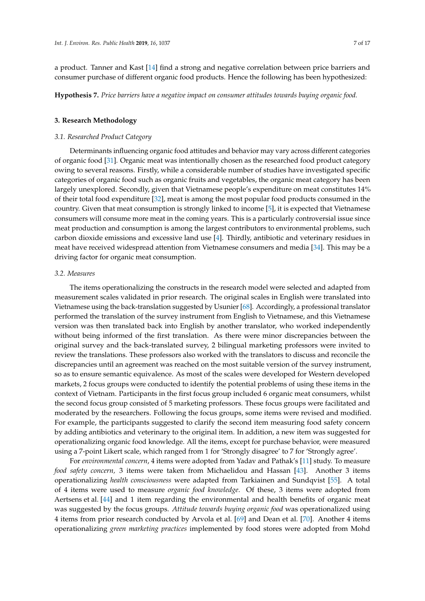a product. Tanner and Kast [\[14\]](#page-14-13) find a strong and negative correlation between price barriers and consumer purchase of different organic food products. Hence the following has been hypothesized:

**Hypothesis 7.** *Price barriers have a negative impact on consumer attitudes towards buying organic food.*

#### **3. Research Methodology**

#### *3.1. Researched Product Category*

Determinants influencing organic food attitudes and behavior may vary across different categories of organic food [\[31\]](#page-15-6). Organic meat was intentionally chosen as the researched food product category owing to several reasons. Firstly, while a considerable number of studies have investigated specific categories of organic food such as organic fruits and vegetables, the organic meat category has been largely unexplored. Secondly, given that Vietnamese people's expenditure on meat constitutes 14% of their total food expenditure [\[32\]](#page-15-7), meat is among the most popular food products consumed in the country. Given that meat consumption is strongly linked to income [\[5\]](#page-14-4), it is expected that Vietnamese consumers will consume more meat in the coming years. This is a particularly controversial issue since meat production and consumption is among the largest contributors to environmental problems, such carbon dioxide emissions and excessive land use [\[4\]](#page-14-3). Thirdly, antibiotic and veterinary residues in meat have received widespread attention from Vietnamese consumers and media [\[34\]](#page-15-9). This may be a driving factor for organic meat consumption.

#### *3.2. Measures*

The items operationalizing the constructs in the research model were selected and adapted from measurement scales validated in prior research. The original scales in English were translated into Vietnamese using the back-translation suggested by Usunier [\[68\]](#page-16-19). Accordingly, a professional translator performed the translation of the survey instrument from English to Vietnamese, and this Vietnamese version was then translated back into English by another translator, who worked independently without being informed of the first translation. As there were minor discrepancies between the original survey and the back-translated survey, 2 bilingual marketing professors were invited to review the translations. These professors also worked with the translators to discuss and reconcile the discrepancies until an agreement was reached on the most suitable version of the survey instrument, so as to ensure semantic equivalence. As most of the scales were developed for Western developed markets, 2 focus groups were conducted to identify the potential problems of using these items in the context of Vietnam. Participants in the first focus group included 6 organic meat consumers, whilst the second focus group consisted of 5 marketing professors. These focus groups were facilitated and moderated by the researchers. Following the focus groups, some items were revised and modified. For example, the participants suggested to clarify the second item measuring food safety concern by adding antibiotics and veterinary to the original item. In addition, a new item was suggested for operationalizing organic food knowledge. All the items, except for purchase behavior, were measured using a 7-point Likert scale, which ranged from 1 for 'Strongly disagree' to 7 for 'Strongly agree'.

For *environmental concern*, 4 items were adopted from Yadav and Pathak's [\[11\]](#page-14-10) study. To measure *food safety concern,* 3 items were taken from Michaelidou and Hassan [\[43\]](#page-15-17). Another 3 items operationalizing *health consciousness* were adapted from Tarkiainen and Sundqvist [\[55\]](#page-16-6). A total of 4 items were used to measure *organic food knowledge*. Of these, 3 items were adopted from Aertsens et al. [\[44\]](#page-15-18) and 1 item regarding the environmental and health benefits of organic meat was suggested by the focus groups. *Attitude towards buying organic food* was operationalized using 4 items from prior research conducted by Arvola et al. [\[69\]](#page-16-20) and Dean et al. [\[70\]](#page-16-21). Another 4 items operationalizing *green marketing practices* implemented by food stores were adopted from Mohd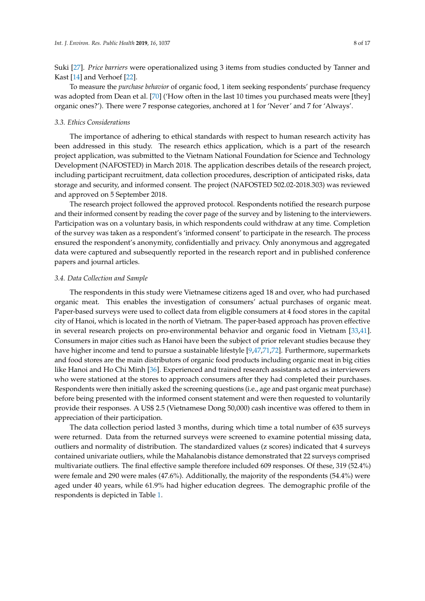Suki [\[27\]](#page-15-2). *Price barriers* were operationalized using 3 items from studies conducted by Tanner and Kast [\[14\]](#page-14-13) and Verhoef [\[22\]](#page-14-19).

To measure the *purchase behavior* of organic food, 1 item seeking respondents' purchase frequency was adopted from Dean et al. [\[70\]](#page-16-21) ('How often in the last 10 times you purchased meats were [they] organic ones?'). There were 7 response categories, anchored at 1 for 'Never' and 7 for 'Always'.

#### *3.3. Ethics Considerations*

The importance of adhering to ethical standards with respect to human research activity has been addressed in this study. The research ethics application, which is a part of the research project application, was submitted to the Vietnam National Foundation for Science and Technology Development (NAFOSTED) in March 2018. The application describes details of the research project, including participant recruitment, data collection procedures, description of anticipated risks, data storage and security, and informed consent. The project (NAFOSTED 502.02-2018.303) was reviewed and approved on 5 September 2018.

The research project followed the approved protocol. Respondents notified the research purpose and their informed consent by reading the cover page of the survey and by listening to the interviewers. Participation was on a voluntary basis, in which respondents could withdraw at any time. Completion of the survey was taken as a respondent's 'informed consent' to participate in the research. The process ensured the respondent's anonymity, confidentially and privacy. Only anonymous and aggregated data were captured and subsequently reported in the research report and in published conference papers and journal articles.

#### *3.4. Data Collection and Sample*

The respondents in this study were Vietnamese citizens aged 18 and over, who had purchased organic meat. This enables the investigation of consumers' actual purchases of organic meat. Paper-based surveys were used to collect data from eligible consumers at 4 food stores in the capital city of Hanoi, which is located in the north of Vietnam. The paper-based approach has proven effective in several research projects on pro-environmental behavior and organic food in Vietnam [\[33,](#page-15-8)[41\]](#page-15-15). Consumers in major cities such as Hanoi have been the subject of prior relevant studies because they have higher income and tend to pursue a sustainable lifestyle [\[9,](#page-14-8)[47,](#page-15-21)[71](#page-16-22)[,72\]](#page-16-23). Furthermore, supermarkets and food stores are the main distributors of organic food products including organic meat in big cities like Hanoi and Ho Chi Minh [\[36\]](#page-15-11). Experienced and trained research assistants acted as interviewers who were stationed at the stores to approach consumers after they had completed their purchases. Respondents were then initially asked the screening questions (i.e., age and past organic meat purchase) before being presented with the informed consent statement and were then requested to voluntarily provide their responses. A US\$ 2.5 (Vietnamese Dong 50,000) cash incentive was offered to them in appreciation of their participation.

The data collection period lasted 3 months, during which time a total number of 635 surveys were returned. Data from the returned surveys were screened to examine potential missing data, outliers and normality of distribution. The standardized values (z scores) indicated that 4 surveys contained univariate outliers, while the Mahalanobis distance demonstrated that 22 surveys comprised multivariate outliers. The final effective sample therefore included 609 responses. Of these, 319 (52.4%) were female and 290 were males (47.6%). Additionally, the majority of the respondents (54.4%) were aged under 40 years, while 61.9% had higher education degrees. The demographic profile of the respondents is depicted in Table [1.](#page-9-0)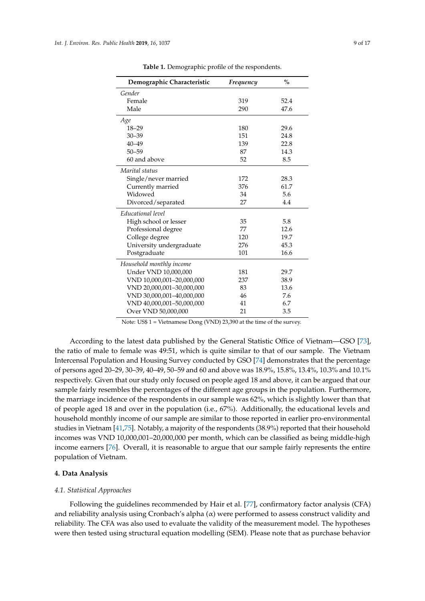<span id="page-9-0"></span>

| Demographic Characteristic | Frequency | $\frac{0}{0}$ |
|----------------------------|-----------|---------------|
| Gender                     |           |               |
| Female                     | 319       | 52.4          |
| Male                       | 290       | 47.6          |
| Age                        |           |               |
| $18 - 29$                  | 180       | 29.6          |
| $30 - 39$                  | 151       | 24.8          |
| $40 - 49$                  | 139       | 22.8          |
| $50 - 59$                  | 87        | 14.3          |
| 60 and above               | 52        | 8.5           |
| Marital status             |           |               |
| Single/never married       | 172       | 28.3          |
| Currently married          | 376       | 61.7          |
| Widowed                    | 34        | 5.6           |
| Divorced/separated         | 27        | 4.4           |
| Educational level          |           |               |
| High school or lesser      | 35        | 5.8           |
| Professional degree        | 77        | 12.6          |
| College degree             | 120       | 19.7          |
| University undergraduate   | 276       | 45.3          |
| Postgraduate               | 101       | 16.6          |
| Household monthly income   |           |               |
| Under VND 10,000,000       | 181       | 29.7          |
| VND 10,000,001-20,000,000  | 237       | 38.9          |
| VND 20,000,001-30,000,000  | 83        | 13.6          |
| VND 30,000,001-40,000,000  | 46        | 7.6           |
| VND 40,000,001-50,000,000  | 41        | 6.7           |
| Over VND 50,000,000        | 21        | 3.5           |

**Table 1.** Demographic profile of the respondents.

Note: US\$ 1 = Vietnamese Dong (VND) 23,390 at the time of the survey.

According to the latest data published by the General Statistic Office of Vietnam—GSO [\[73\]](#page-16-24), the ratio of male to female was 49:51, which is quite similar to that of our sample. The Vietnam Intercensal Population and Housing Survey conducted by GSO [\[74\]](#page-17-0) demonstrates that the percentage of persons aged 20–29, 30–39, 40–49, 50–59 and 60 and above was 18.9%, 15.8%, 13.4%, 10.3% and 10.1% respectively. Given that our study only focused on people aged 18 and above, it can be argued that our sample fairly resembles the percentages of the different age groups in the population. Furthermore, the marriage incidence of the respondents in our sample was 62%, which is slightly lower than that of people aged 18 and over in the population (i.e., 67%). Additionally, the educational levels and household monthly income of our sample are similar to those reported in earlier pro-environmental studies in Vietnam [\[41](#page-15-15)[,75\]](#page-17-1). Notably, a majority of the respondents (38.9%) reported that their household incomes was VND 10,000,001–20,000,000 per month, which can be classified as being middle-high income earners [\[76\]](#page-17-2). Overall, it is reasonable to argue that our sample fairly represents the entire population of Vietnam.

#### **4. Data Analysis**

#### *4.1. Statistical Approaches*

Following the guidelines recommended by Hair et al. [\[77\]](#page-17-3), confirmatory factor analysis (CFA) and reliability analysis using Cronbach's alpha  $(\alpha)$  were performed to assess construct validity and reliability. The CFA was also used to evaluate the validity of the measurement model. The hypotheses were then tested using structural equation modelling (SEM). Please note that as purchase behavior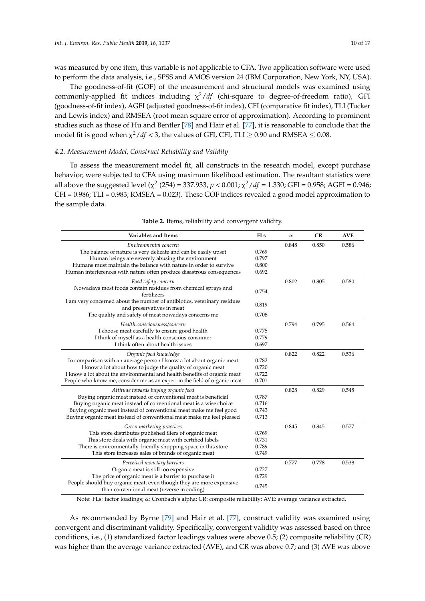was measured by one item, this variable is not applicable to CFA. Two application software were used to perform the data analysis, i.e., SPSS and AMOS version 24 (IBM Corporation, New York, NY, USA).

The goodness-of-fit (GOF) of the measurement and structural models was examined using commonly-applied fit indices including χ <sup>2</sup>/*df* (chi-square to degree-of-freedom ratio), GFI (goodness-of-fit index), AGFI (adjusted goodness-of-fit index), CFI (comparative fit index), TLI (Tucker and Lewis index) and RMSEA (root mean square error of approximation). According to prominent studies such as those of Hu and Bentler [\[78\]](#page-17-4) and Hair et al. [\[77\]](#page-17-3), it is reasonable to conclude that the model fit is good when  $\chi^2/df <$  3, the values of GFI, CFI, TLI  $\geq 0.90$  and RMSEA  $\leq 0.08$ .

#### *4.2. Measurement Model, Construct Reliability and Validity*

To assess the measurement model fit, all constructs in the research model, except purchase behavior, were subjected to CFA using maximum likelihood estimation. The resultant statistics were all above the suggested level ( $\chi^2$  (254) = 337.933,  $p < 0.001$ ;  $\chi^2/df = 1.330$ ; GFI = 0.958; AGFI = 0.946; CFI = 0.986; TLI = 0.983; RMSEA = 0.023). These GOF indices revealed a good model approximation to the sample data.

<span id="page-10-0"></span>

| Variables and Items                                                                                               | <b>FLs</b> | $\alpha$ | CR    | <b>AVE</b> |
|-------------------------------------------------------------------------------------------------------------------|------------|----------|-------|------------|
| Environmental concern                                                                                             |            | 0.848    | 0.850 | 0.586      |
| The balance of nature is very delicate and can be easily upset                                                    | 0.769      |          |       |            |
| Human beings are severely abusing the environment                                                                 | 0.797      |          |       |            |
| Humans must maintain the balance with nature in order to survive                                                  | 0.800      |          |       |            |
| Human interferences with nature often produce disastrous consequences                                             | 0.692      |          |       |            |
| Food safety concern                                                                                               |            | 0.802    | 0.805 | 0.580      |
| Nowadays most foods contain residues from chemical sprays and<br>fertilizers                                      | 0.754      |          |       |            |
| I am very concerned about the number of antibiotics, veterinary residues<br>and preservatives in meat             | 0.819      |          |       |            |
| The quality and safety of meat nowadays concerns me                                                               | 0.708      |          |       |            |
| Health consciousness/concern                                                                                      |            | 0.794    | 0.795 | 0.564      |
| I choose meat carefully to ensure good health                                                                     | 0.775      |          |       |            |
| I think of myself as a health-conscious consumer                                                                  | 0.779      |          |       |            |
| I think often about health issues                                                                                 | 0.697      |          |       |            |
| Organic food knowledge                                                                                            |            | 0.822    | 0.822 | 0.536      |
| In comparison with an average person I know a lot about organic meat                                              | 0.782      |          |       |            |
| I know a lot about how to judge the quality of organic meat                                                       | 0.720      |          |       |            |
| I know a lot about the environmental and health benefits of organic meat                                          | 0.722      |          |       |            |
| People who know me, consider me as an expert in the field of organic meat                                         | 0.701      |          |       |            |
| Attitude towards buying organic food                                                                              |            | 0.828    | 0.829 | 0.548      |
| Buying organic meat instead of conventional meat is beneficial                                                    | 0.787      |          |       |            |
| Buying organic meat instead of conventional meat is a wise choice                                                 | 0.716      |          |       |            |
| Buying organic meat instead of conventional meat make me feel good                                                | 0.743      |          |       |            |
| Buying organic meat instead of conventional meat make me feel pleased                                             | 0.713      |          |       |            |
| Green marketing practices                                                                                         |            | 0.845    | 0.845 | 0.577      |
| This store distributes published fliers of organic meat                                                           | 0.769      |          |       |            |
| This store deals with organic meat with certified labels                                                          | 0.731      |          |       |            |
| There is environmentally-friendly shopping space in this store                                                    | 0.789      |          |       |            |
| This store increases sales of brands of organic meat                                                              | 0.749      |          |       |            |
| Perceived monetary barriers                                                                                       |            | 0.777    | 0.778 | 0.538      |
| Organic meat is still too expensive                                                                               | 0.727      |          |       |            |
| The price of organic meat is a barrier to purchase it                                                             | 0.729      |          |       |            |
| People should buy organic meat, even though they are more expensive<br>than conventional meat (reverse in coding) | 0.745      |          |       |            |

|  | Table 2. Items, reliability and convergent validity. |  |
|--|------------------------------------------------------|--|
|  |                                                      |  |

Note: FLs: factor loadings; α: Cronbach's alpha; CR: composite reliability; AVE: average variance extracted.

As recommended by Byrne [\[79\]](#page-17-5) and Hair et al. [\[77\]](#page-17-3), construct validity was examined using convergent and discriminant validity. Specifically, convergent validity was assessed based on three conditions, i.e., (1) standardized factor loadings values were above 0.5; (2) composite reliability (CR) was higher than the average variance extracted (AVE), and CR was above 0.7; and (3) AVE was above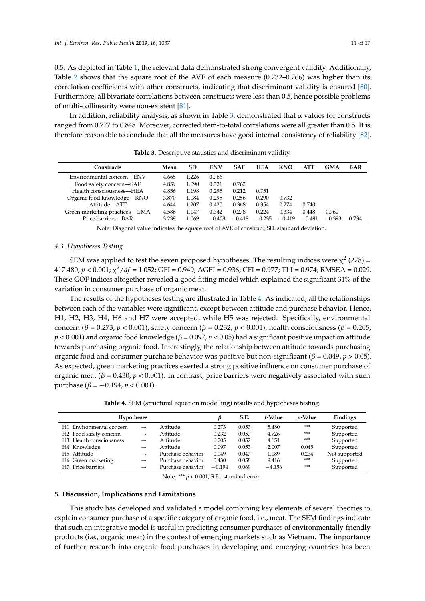0.5. As depicted in Table [1,](#page-9-0) the relevant data demonstrated strong convergent validity. Additionally, Table [2](#page-10-0) shows that the square root of the AVE of each measure (0.732–0.766) was higher than its correlation coefficients with other constructs, indicating that discriminant validity is ensured [\[80\]](#page-17-6). Furthermore, all bivariate correlations between constructs were less than 0.5, hence possible problems of multi-collinearity were non-existent [\[81\]](#page-17-7).

In addition, reliability analysis, as shown in Table [3,](#page-11-0) demonstrated that  $\alpha$  values for constructs ranged from 0.777 to 0.848. Moreover, corrected item-to-total correlations were all greater than 0.5. It is therefore reasonable to conclude that all the measures have good internal consistency of reliability [\[82\]](#page-17-8).

<span id="page-11-0"></span>

| <b>Constructs</b>             | Mean  | SD    | <b>ENV</b> | <b>SAF</b> | <b>HEA</b> | <b>KNO</b> | ATT      | <b>GMA</b> | <b>BAR</b> |
|-------------------------------|-------|-------|------------|------------|------------|------------|----------|------------|------------|
| Environmental concern—ENV     | 4.665 | 1.226 | 0.766      |            |            |            |          |            |            |
| Food safety concern-SAF       | 4.859 | 1.090 | 0.321      | 0.762      |            |            |          |            |            |
| Health consciousness—HEA      | 4.856 | 1.198 | 0.295      | 0.212      | 0.751      |            |          |            |            |
| Organic food knowledge—KNO    | 3.870 | 1.084 | 0.295      | 0.256      | 0.290      | 0.732      |          |            |            |
| Attitude-ATT                  | 4.644 | 1.207 | 0.420      | 0.368      | 0.354      | 0.274      | 0.740    |            |            |
| Green marketing practices-GMA | 4.586 | 1.147 | 0.342      | 0.278      | 0.224      | 0.334      | 0.448    | 0.760      |            |
| Price barriers-BAR            | 3.239 | .069  | $-0.408$   | $-0.418$   | $-0.235$   | $-0.419$   | $-0.491$ | $-0.393$   | 0.734      |

**Table 3.** Descriptive statistics and discriminant validity.

Note: Diagonal value indicates the square root of AVE of construct; SD: standard deviation.

#### *4.3. Hypotheses Testing*

SEM was applied to test the seven proposed hypotheses. The resulting indices were  $\chi^2$  (278) = 417.480, *p* < 0.001; χ <sup>2</sup>/*df* = 1.052; GFI = 0.949; AGFI = 0.936; CFI = 0.977; TLI = 0.974; RMSEA = 0.029. These GOF indices altogether revealed a good fitting model which explained the significant 31% of the variation in consumer purchase of organic meat.

The results of the hypotheses testing are illustrated in Table [4.](#page-11-1) As indicated, all the relationships between each of the variables were significant, except between attitude and purchase behavior. Hence, H1, H2, H3, H4, H6 and H7 were accepted, while H5 was rejected. Specifically, environmental concern (*β* = 0.273, *p* < 0.001), safety concern (*β* = 0.232, *p* < 0.001), health consciousness (*β* = 0.205, *p* < 0.001) and organic food knowledge (*β* = 0.097, *p* < 0.05) had a significant positive impact on attitude towards purchasing organic food. Interestingly, the relationship between attitude towards purchasing organic food and consumer purchase behavior was positive but non-significant (*β* = 0.049, *p* > 0.05). As expected, green marketing practices exerted a strong positive influence on consumer purchase of organic meat (*β* = 0.430, *p* < 0.001). In contrast, price barriers were negatively associated with such purchase (*β* = −0.194*, p* < 0.001).

**Table 4.** SEM (structural equation modelling) results and hypotheses testing.

<span id="page-11-1"></span>

| <b>Hypotheses</b>                     |               |                   |          | S.E.  | t-Value  | <i>p</i> -Value | Findings      |
|---------------------------------------|---------------|-------------------|----------|-------|----------|-----------------|---------------|
| H1: Environmental concern             | $\rightarrow$ | Attitude          | 0.273    | 0.053 | 5.480    | ***             | Supported     |
| H2: Food safety concern               | $\rightarrow$ | Attitude          | 0.232    | 0.057 | 4.726    | ***             | Supported     |
| H <sub>3</sub> : Health consciousness | $\rightarrow$ | Attitude          | 0.205    | 0.052 | 4.151    | ***             | Supported     |
| H4: Knowledge                         | $\rightarrow$ | Attitude          | 0.097    | 0.053 | 2.007    | 0.045           | Supported     |
| H5: Attitude                          | $\rightarrow$ | Purchase behavior | 0.049    | 0.047 | 1.189    | 0.234           | Not supported |
| H6: Green marketing                   | $\rightarrow$ | Purchase behavior | 0.430    | 0.058 | 9.416    | $***$           | Supported     |
| H7: Price barriers                    | $\rightarrow$ | Purchase behavior | $-0.194$ | 0.069 | $-4.156$ | ***             | Supported     |

Note: \*\*\* *p* < 0.001; S.E.: standard error.

#### **5. Discussion, Implications and Limitations**

This study has developed and validated a model combining key elements of several theories to explain consumer purchase of a specific category of organic food, i.e., meat. The SEM findings indicate that such an integrative model is useful in predicting consumer purchases of environmentally-friendly products (i.e., organic meat) in the context of emerging markets such as Vietnam. The importance of further research into organic food purchases in developing and emerging countries has been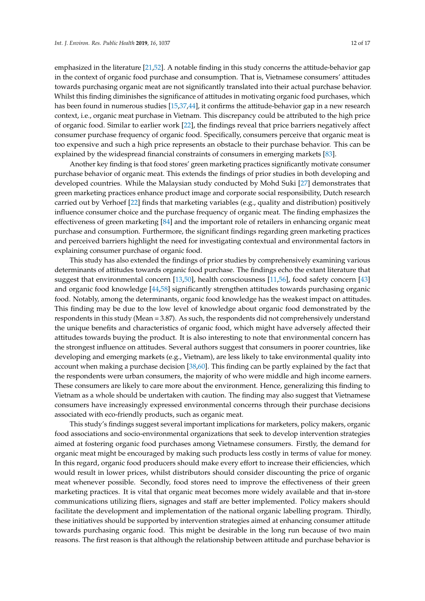emphasized in the literature [\[21](#page-14-23)[,52\]](#page-16-3). A notable finding in this study concerns the attitude-behavior gap in the context of organic food purchase and consumption. That is, Vietnamese consumers' attitudes towards purchasing organic meat are not significantly translated into their actual purchase behavior. Whilst this finding diminishes the significance of attitudes in motivating organic food purchases, which has been found in numerous studies [\[15,](#page-14-14)[37,](#page-15-12)[44\]](#page-15-18), it confirms the attitude-behavior gap in a new research context, i.e., organic meat purchase in Vietnam. This discrepancy could be attributed to the high price of organic food. Similar to earlier work [\[22\]](#page-14-19), the findings reveal that price barriers negatively affect consumer purchase frequency of organic food. Specifically, consumers perceive that organic meat is too expensive and such a high price represents an obstacle to their purchase behavior. This can be explained by the widespread financial constraints of consumers in emerging markets [\[83\]](#page-17-9).

Another key finding is that food stores' green marketing practices significantly motivate consumer purchase behavior of organic meat. This extends the findings of prior studies in both developing and developed countries. While the Malaysian study conducted by Mohd Suki [\[27\]](#page-15-2) demonstrates that green marketing practices enhance product image and corporate social responsibility, Dutch research carried out by Verhoef [\[22\]](#page-14-19) finds that marketing variables (e.g., quality and distribution) positively influence consumer choice and the purchase frequency of organic meat. The finding emphasizes the effectiveness of green marketing [\[84\]](#page-17-10) and the important role of retailers in enhancing organic meat purchase and consumption. Furthermore, the significant findings regarding green marketing practices and perceived barriers highlight the need for investigating contextual and environmental factors in explaining consumer purchase of organic food.

This study has also extended the findings of prior studies by comprehensively examining various determinants of attitudes towards organic food purchase. The findings echo the extant literature that suggest that environmental concern [\[13,](#page-14-12)[50\]](#page-16-1), health consciousness [\[11,](#page-14-10)[56\]](#page-16-7), food safety concern [\[43\]](#page-15-17) and organic food knowledge [\[44,](#page-15-18)[58\]](#page-16-9) significantly strengthen attitudes towards purchasing organic food. Notably, among the determinants, organic food knowledge has the weakest impact on attitudes. This finding may be due to the low level of knowledge about organic food demonstrated by the respondents in this study (Mean = 3.87). As such, the respondents did not comprehensively understand the unique benefits and characteristics of organic food, which might have adversely affected their attitudes towards buying the product. It is also interesting to note that environmental concern has the strongest influence on attitudes. Several authors suggest that consumers in poorer countries, like developing and emerging markets (e.g., Vietnam), are less likely to take environmental quality into account when making a purchase decision [\[38](#page-15-13)[,60\]](#page-16-11). This finding can be partly explained by the fact that the respondents were urban consumers, the majority of who were middle and high income earners. These consumers are likely to care more about the environment. Hence, generalizing this finding to Vietnam as a whole should be undertaken with caution. The finding may also suggest that Vietnamese consumers have increasingly expressed environmental concerns through their purchase decisions associated with eco-friendly products, such as organic meat.

This study's findings suggest several important implications for marketers, policy makers, organic food associations and socio-environmental organizations that seek to develop intervention strategies aimed at fostering organic food purchases among Vietnamese consumers. Firstly, the demand for organic meat might be encouraged by making such products less costly in terms of value for money. In this regard, organic food producers should make every effort to increase their efficiencies, which would result in lower prices, whilst distributors should consider discounting the price of organic meat whenever possible. Secondly, food stores need to improve the effectiveness of their green marketing practices. It is vital that organic meat becomes more widely available and that in-store communications utilizing fliers, signages and staff are better implemented. Policy makers should facilitate the development and implementation of the national organic labelling program. Thirdly, these initiatives should be supported by intervention strategies aimed at enhancing consumer attitude towards purchasing organic food. This might be desirable in the long run because of two main reasons. The first reason is that although the relationship between attitude and purchase behavior is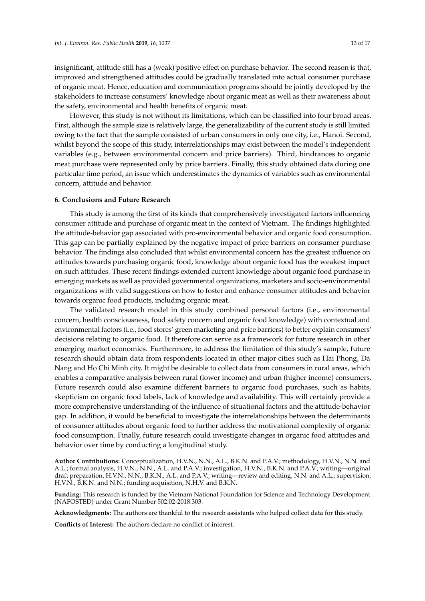insignificant, attitude still has a (weak) positive effect on purchase behavior. The second reason is that, improved and strengthened attitudes could be gradually translated into actual consumer purchase of organic meat. Hence, education and communication programs should be jointly developed by the stakeholders to increase consumers' knowledge about organic meat as well as their awareness about the safety, environmental and health benefits of organic meat.

However, this study is not without its limitations, which can be classified into four broad areas. First, although the sample size is relatively large, the generalizability of the current study is still limited owing to the fact that the sample consisted of urban consumers in only one city, i.e., Hanoi. Second, whilst beyond the scope of this study, interrelationships may exist between the model's independent variables (e.g., between environmental concern and price barriers). Third, hindrances to organic meat purchase were represented only by price barriers. Finally, this study obtained data during one particular time period, an issue which underestimates the dynamics of variables such as environmental concern, attitude and behavior.

#### **6. Conclusions and Future Research**

This study is among the first of its kinds that comprehensively investigated factors influencing consumer attitude and purchase of organic meat in the context of Vietnam. The findings highlighted the attitude-behavior gap associated with pro-environmental behavior and organic food consumption. This gap can be partially explained by the negative impact of price barriers on consumer purchase behavior. The findings also concluded that whilst environmental concern has the greatest influence on attitudes towards purchasing organic food, knowledge about organic food has the weakest impact on such attitudes. These recent findings extended current knowledge about organic food purchase in emerging markets as well as provided governmental organizations, marketers and socio-environmental organizations with valid suggestions on how to foster and enhance consumer attitudes and behavior towards organic food products, including organic meat.

The validated research model in this study combined personal factors (i.e., environmental concern, health consciousness, food safety concern and organic food knowledge) with contextual and environmental factors (i.e., food stores' green marketing and price barriers) to better explain consumers' decisions relating to organic food. It therefore can serve as a framework for future research in other emerging market economies. Furthermore, to address the limitation of this study's sample, future research should obtain data from respondents located in other major cities such as Hai Phong, Da Nang and Ho Chi Minh city. It might be desirable to collect data from consumers in rural areas, which enables a comparative analysis between rural (lower income) and urban (higher income) consumers. Future research could also examine different barriers to organic food purchases, such as habits, skepticism on organic food labels, lack of knowledge and availability. This will certainly provide a more comprehensive understanding of the influence of situational factors and the attitude-behavior gap. In addition, it would be beneficial to investigate the interrelationships between the determinants of consumer attitudes about organic food to further address the motivational complexity of organic food consumption. Finally, future research could investigate changes in organic food attitudes and behavior over time by conducting a longitudinal study.

**Author Contributions:** Conceptualization, H.V.N., N.N., A.L., B.K.N. and P.A.V.; methodology, H.V.N., N.N. and A.L.; formal analysis, H.V.N., N.N., A.L. and P.A.V.; investigation, H.V.N., B.K.N. and P.A.V.; writing—original draft preparation, H.V.N., N.N., B.K.N., A.L. and P.A.V.; writing—review and editing, N.N. and A.L.; supervision, H.V.N., B.K.N. and N.N.; funding acquisition, N.H.V. and B.K.N.

**Funding:** This research is funded by the Vietnam National Foundation for Science and Technology Development (NAFOSTED) under Grant Number 502.02-2018.303.

**Acknowledgments:** The authors are thankful to the research assistants who helped collect data for this study.

**Conflicts of Interest:** The authors declare no conflict of interest.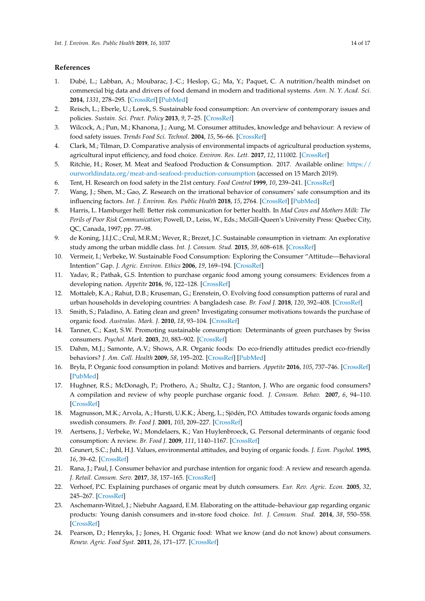#### **References**

- <span id="page-14-0"></span>1. Dubé, L.; Labban, A.; Moubarac, J.-C.; Heslop, G.; Ma, Y.; Paquet, C. A nutrition/health mindset on commercial big data and drivers of food demand in modern and traditional systems. *Ann. N. Y. Acad. Sci.* **2014**, *1331*, 278–295. [\[CrossRef\]](http://dx.doi.org/10.1111/nyas.12595) [\[PubMed\]](http://www.ncbi.nlm.nih.gov/pubmed/25514866)
- <span id="page-14-2"></span>2. Reisch, L.; Eberle, U.; Lorek, S. Sustainable food consumption: An overview of contemporary issues and policies. *Sustain. Sci. Pract. Policy* **2013**, *9*, 7–25. [\[CrossRef\]](http://dx.doi.org/10.1080/15487733.2013.11908111)
- <span id="page-14-1"></span>3. Wilcock, A.; Pun, M.; Khanona, J.; Aung, M. Consumer attitudes, knowledge and behaviour: A review of food safety issues. *Trends Food Sci. Technol.* **2004**, *15*, 56–66. [\[CrossRef\]](http://dx.doi.org/10.1016/j.tifs.2003.08.004)
- <span id="page-14-3"></span>4. Clark, M.; Tilman, D. Comparative analysis of environmental impacts of agricultural production systems, agricultural input efficiency, and food choice. *Environ. Res. Lett.* **2017**, *12*, 111002. [\[CrossRef\]](http://dx.doi.org/10.1088/1748-9326/aa6cd5)
- <span id="page-14-4"></span>5. Ritchie, H.; Roser, M. Meat and Seafood Production & Consumption. 2017. Available online: [https://](https://ourworldindata.org/meat-and-seafood-production-consumption) [ourworldindata.org/meat-and-seafood-production-consumption](https://ourworldindata.org/meat-and-seafood-production-consumption) (accessed on 15 March 2019).
- <span id="page-14-5"></span>6. Tent, H. Research on food safety in the 21st century. *Food Control* **1999**, *10*, 239–241. [\[CrossRef\]](http://dx.doi.org/10.1016/S0956-7135(99)00025-0)
- <span id="page-14-6"></span>7. Wang, J.; Shen, M.; Gao, Z. Research on the irrational behavior of consumers' safe consumption and its influencing factors. *Int. J. Environ. Res. Public Health* **2018**, *15*, 2764. [\[CrossRef\]](http://dx.doi.org/10.3390/ijerph15122764) [\[PubMed\]](http://www.ncbi.nlm.nih.gov/pubmed/30563258)
- <span id="page-14-7"></span>8. Harris, L. Hamburger hell: Better risk communication for better health. In *Mad Cows and Mothers Milk: The Perils of Poor Risk Communication*; Powell, D., Leiss, W., Eds.; McGill-Queen's University Press: Quebec City, QC, Canada, 1997; pp. 77–98.
- <span id="page-14-8"></span>9. de Koning, J.I.J.C.; Crul, M.R.M.; Wever, R.; Brezet, J.C. Sustainable consumption in vietnam: An explorative study among the urban middle class. *Int. J. Consum. Stud.* **2015**, *39*, 608–618. [\[CrossRef\]](http://dx.doi.org/10.1111/ijcs.12235)
- <span id="page-14-9"></span>10. Vermeir, I.; Verbeke, W. Sustainable Food Consumption: Exploring the Consumer "Attitude—Behavioral Intention" Gap. *J. Agric. Environ. Ethics* **2006**, *19*, 169–194. [\[CrossRef\]](http://dx.doi.org/10.1007/s10806-005-5485-3)
- <span id="page-14-10"></span>11. Yadav, R.; Pathak, G.S. Intention to purchase organic food among young consumers: Evidences from a developing nation. *Appetite* **2016**, *96*, 122–128. [\[CrossRef\]](http://dx.doi.org/10.1016/j.appet.2015.09.017)
- <span id="page-14-11"></span>12. Mottaleb, K.A.; Rahut, D.B.; Kruseman, G.; Erenstein, O. Evolving food consumption patterns of rural and urban households in developing countries: A bangladesh case. *Br. Food J.* **2018**, *120*, 392–408. [\[CrossRef\]](http://dx.doi.org/10.1108/BFJ-12-2016-0620)
- <span id="page-14-12"></span>13. Smith, S.; Paladino, A. Eating clean and green? Investigating consumer motivations towards the purchase of organic food. *Australas. Mark. J.* **2010**, *18*, 93–104. [\[CrossRef\]](http://dx.doi.org/10.1016/j.ausmj.2010.01.001)
- <span id="page-14-13"></span>14. Tanner, C.; Kast, S.W. Promoting sustainable consumption: Determinants of green purchases by Swiss consumers. *Psychol. Mark.* **2003**, *20*, 883–902. [\[CrossRef\]](http://dx.doi.org/10.1002/mar.10101)
- <span id="page-14-14"></span>15. Dahm, M.J.; Samonte, A.V.; Shows, A.R. Organic foods: Do eco-friendly attitudes predict eco-friendly behaviors? *J. Am. Coll. Health* **2009**, *58*, 195–202. [\[CrossRef\]](http://dx.doi.org/10.1080/07448480903295292) [\[PubMed\]](http://www.ncbi.nlm.nih.gov/pubmed/19959433)
- <span id="page-14-15"></span>16. Bryła, P. Organic food consumption in poland: Motives and barriers. *Appetite* **2016**, *105*, 737–746. [\[CrossRef\]](http://dx.doi.org/10.1016/j.appet.2016.07.012) [\[PubMed\]](http://www.ncbi.nlm.nih.gov/pubmed/27417333)
- <span id="page-14-22"></span>17. Hughner, R.S.; McDonagh, P.; Prothero, A.; Shultz, C.J.; Stanton, J. Who are organic food consumers? A compilation and review of why people purchase organic food. *J. Consum. Behav.* **2007**, *6*, 94–110. [\[CrossRef\]](http://dx.doi.org/10.1002/cb.210)
- <span id="page-14-16"></span>18. Magnusson, M.K.; Arvola, A.; Hursti, U.K.K.; Åberg, L.; Sjödén, P.O. Attitudes towards organic foods among swedish consumers. *Br. Food J.* **2001**, *103*, 209–227. [\[CrossRef\]](http://dx.doi.org/10.1108/00070700110386755)
- <span id="page-14-17"></span>19. Aertsens, J.; Verbeke, W.; Mondelaers, K.; Van Huylenbroeck, G. Personal determinants of organic food consumption: A review. *Br. Food J.* **2009**, *111*, 1140–1167. [\[CrossRef\]](http://dx.doi.org/10.1108/00070700910992961)
- <span id="page-14-18"></span>20. Grunert, S.C.; Juhl, H.J. Values, environmental attitudes, and buying of organic foods. *J. Econ. Psychol.* **1995**, *16*, 39–62. [\[CrossRef\]](http://dx.doi.org/10.1016/0167-4870(94)00034-8)
- <span id="page-14-23"></span>21. Rana, J.; Paul, J. Consumer behavior and purchase intention for organic food: A review and research agenda. *J. Retail. Consum. Serv.* **2017**, *38*, 157–165. [\[CrossRef\]](http://dx.doi.org/10.1016/j.jretconser.2017.06.004)
- <span id="page-14-19"></span>22. Verhoef, P.C. Explaining purchases of organic meat by dutch consumers. *Eur. Rev. Agric. Econ.* **2005**, *32*, 245–267. [\[CrossRef\]](http://dx.doi.org/10.1093/eurrag/jbi008)
- <span id="page-14-20"></span>23. Aschemann-Witzel, J.; Niebuhr Aagaard, E.M. Elaborating on the attitude–behaviour gap regarding organic products: Young danish consumers and in-store food choice. *Int. J. Consum. Stud.* **2014**, *38*, 550–558. [\[CrossRef\]](http://dx.doi.org/10.1111/ijcs.12115)
- <span id="page-14-21"></span>24. Pearson, D.; Henryks, J.; Jones, H. Organic food: What we know (and do not know) about consumers. *Renew. Agric. Food Syst.* **2011**, *26*, 171–177. [\[CrossRef\]](http://dx.doi.org/10.1017/S1742170510000499)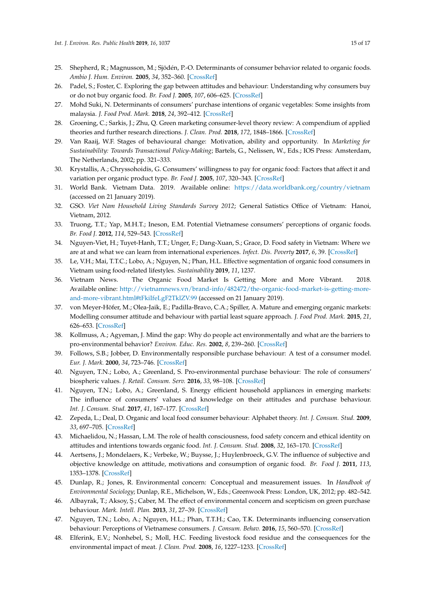- <span id="page-15-0"></span>25. Shepherd, R.; Magnusson, M.; Sjödén, P.-O. Determinants of consumer behavior related to organic foods. *Ambio J. Hum. Environ.* **2005**, *34*, 352–360. [\[CrossRef\]](http://dx.doi.org/10.1579/0044-7447-34.4.352)
- <span id="page-15-1"></span>26. Padel, S.; Foster, C. Exploring the gap between attitudes and behaviour: Understanding why consumers buy or do not buy organic food. *Br. Food J.* **2005**, *107*, 606–625. [\[CrossRef\]](http://dx.doi.org/10.1108/00070700510611002)
- <span id="page-15-2"></span>27. Mohd Suki, N. Determinants of consumers' purchase intentions of organic vegetables: Some insights from malaysia. *J. Food Prod. Mark.* **2018**, *24*, 392–412. [\[CrossRef\]](http://dx.doi.org/10.1080/10454446.2017.1280717)
- <span id="page-15-3"></span>28. Groening, C.; Sarkis, J.; Zhu, Q. Green marketing consumer-level theory review: A compendium of applied theories and further research directions. *J. Clean. Prod.* **2018**, *172*, 1848–1866. [\[CrossRef\]](http://dx.doi.org/10.1016/j.jclepro.2017.12.002)
- <span id="page-15-4"></span>29. Van Raaij, W.F. Stages of behavioural change: Motivation, ability and opportunity. In *Marketing for Sustainability: Towards Transactional Policy-Making*; Bartels, G., Nelissen, W., Eds.; IOS Press: Amsterdam, The Netherlands, 2002; pp. 321–333.
- <span id="page-15-5"></span>30. Krystallis, A.; Chryssohoidis, G. Consumers' willingness to pay for organic food: Factors that affect it and variation per organic product type. *Br. Food J.* **2005**, *107*, 320–343. [\[CrossRef\]](http://dx.doi.org/10.1108/00070700510596901)
- <span id="page-15-6"></span>31. World Bank. Vietnam Data. 2019. Available online: <https://data.worldbank.org/country/vietnam> (accessed on 21 January 2019).
- <span id="page-15-7"></span>32. GSO. *Viet Nam Household Living Standards Survey 2012*; General Satistics Office of Vietnam: Hanoi, Vietnam, 2012.
- <span id="page-15-8"></span>33. Truong, T.T.; Yap, M.H.T.; Ineson, E.M. Potential Vietnamese consumers' perceptions of organic foods. *Br. Food J.* **2012**, *114*, 529–543. [\[CrossRef\]](http://dx.doi.org/10.1108/00070701211219540)
- <span id="page-15-9"></span>34. Nguyen-Viet, H.; Tuyet-Hanh, T.T.; Unger, F.; Dang-Xuan, S.; Grace, D. Food safety in Vietnam: Where we are at and what we can learn from international experiences. *Infect. Dis. Poverty* **2017**, *6*, 39. [\[CrossRef\]](http://dx.doi.org/10.1186/s40249-017-0249-7)
- <span id="page-15-10"></span>35. Le, V.H.; Mai, T.T.C.; Lobo, A.; Nguyen, N.; Phan, H.L. Effective segmentation of organic food consumers in Vietnam using food-related lifestyles. *Sustainability* **2019**, *11*, 1237.
- <span id="page-15-11"></span>36. Vietnam News. The Organic Food Market Is Getting More and More Vibrant. 2018. Available online: [http://vietnamnews.vn/brand-info/482472/the-organic-food-market-is-getting-more](http://vietnamnews.vn/brand-info/482472/the-organic-food-market-is-getting-more-and-more-vibrant.html#tFkiIfeLgF2TklZV.99)[and-more-vibrant.html#tFkiIfeLgF2TklZV.99](http://vietnamnews.vn/brand-info/482472/the-organic-food-market-is-getting-more-and-more-vibrant.html#tFkiIfeLgF2TklZV.99) (accessed on 21 January 2019).
- <span id="page-15-12"></span>37. von Meyer-Höfer, M.; Olea-Jaik, E.; Padilla-Bravo, C.A.; Spiller, A. Mature and emerging organic markets: Modelling consumer attitude and behaviour with partial least square approach. *J. Food Prod. Mark.* **2015**, *21*, 626–653. [\[CrossRef\]](http://dx.doi.org/10.1080/10454446.2014.949971)
- <span id="page-15-13"></span>38. Kollmuss, A.; Agyeman, J. Mind the gap: Why do people act environmentally and what are the barriers to pro-environmental behavior? *Environ. Educ. Res.* **2002**, *8*, 239–260. [\[CrossRef\]](http://dx.doi.org/10.1080/13504620220145401)
- <span id="page-15-14"></span>39. Follows, S.B.; Jobber, D. Environmentally responsible purchase behaviour: A test of a consumer model. *Eur. J. Mark.* **2000**, *34*, 723–746. [\[CrossRef\]](http://dx.doi.org/10.1108/03090560010322009)
- 40. Nguyen, T.N.; Lobo, A.; Greenland, S. Pro-environmental purchase behaviour: The role of consumers' biospheric values. *J. Retail. Consum. Serv.* **2016**, *33*, 98–108. [\[CrossRef\]](http://dx.doi.org/10.1016/j.jretconser.2016.08.010)
- <span id="page-15-15"></span>41. Nguyen, T.N.; Lobo, A.; Greenland, S. Energy efficient household appliances in emerging markets: The influence of consumers' values and knowledge on their attitudes and purchase behaviour. *Int. J. Consum. Stud.* **2017**, *41*, 167–177. [\[CrossRef\]](http://dx.doi.org/10.1111/ijcs.12323)
- <span id="page-15-16"></span>42. Zepeda, L.; Deal, D. Organic and local food consumer behaviour: Alphabet theory. *Int. J. Consum. Stud.* **2009**, *33*, 697–705. [\[CrossRef\]](http://dx.doi.org/10.1111/j.1470-6431.2009.00814.x)
- <span id="page-15-17"></span>43. Michaelidou, N.; Hassan, L.M. The role of health consciousness, food safety concern and ethical identity on attitudes and intentions towards organic food. *Int. J. Consum. Stud.* **2008**, *32*, 163–170. [\[CrossRef\]](http://dx.doi.org/10.1111/j.1470-6431.2007.00619.x)
- <span id="page-15-18"></span>44. Aertsens, J.; Mondelaers, K.; Verbeke, W.; Buysse, J.; Huylenbroeck, G.V. The influence of subjective and objective knowledge on attitude, motivations and consumption of organic food. *Br. Food J.* **2011**, *113*, 1353–1378. [\[CrossRef\]](http://dx.doi.org/10.1108/00070701111179988)
- <span id="page-15-19"></span>45. Dunlap, R.; Jones, R. Environmental concern: Conceptual and measurement issues. In *Handbook of Environmental Sociology*; Dunlap, R.E., Michelson, W., Eds.; Greenwook Press: London, UK, 2012; pp. 482–542.
- <span id="page-15-20"></span>46. Albayrak, T.; Aksoy, Ş.; Caber, M. The effect of environmental concern and scepticism on green purchase behaviour. *Mark. Intell. Plan.* **2013**, *31*, 27–39. [\[CrossRef\]](http://dx.doi.org/10.1108/02634501311292902)
- <span id="page-15-21"></span>47. Nguyen, T.N.; Lobo, A.; Nguyen, H.L.; Phan, T.T.H.; Cao, T.K. Determinants influencing conservation behaviour: Perceptions of Vietnamese consumers. *J. Consum. Behav.* **2016**, *15*, 560–570. [\[CrossRef\]](http://dx.doi.org/10.1002/cb.1594)
- <span id="page-15-22"></span>48. Elferink, E.V.; Nonhebel, S.; Moll, H.C. Feeding livestock food residue and the consequences for the environmental impact of meat. *J. Clean. Prod.* **2008**, *16*, 1227–1233. [\[CrossRef\]](http://dx.doi.org/10.1016/j.jclepro.2007.06.008)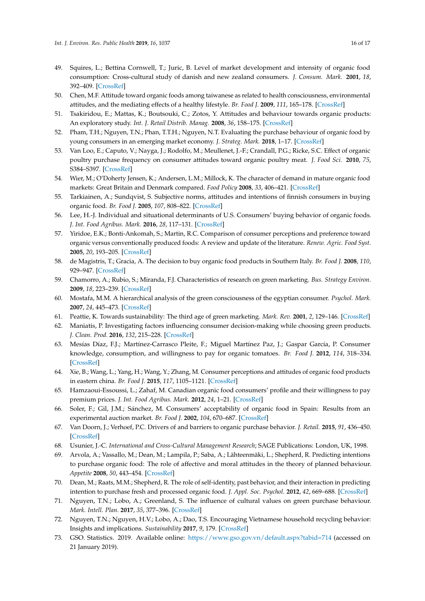- <span id="page-16-0"></span>49. Squires, L.; Bettina Cornwell, T.; Juric, B. Level of market development and intensity of organic food consumption: Cross-cultural study of danish and new zealand consumers. *J. Consum. Mark.* **2001**, *18*, 392–409. [\[CrossRef\]](http://dx.doi.org/10.1108/07363760110398754)
- <span id="page-16-1"></span>50. Chen, M.F. Attitude toward organic foods among taiwanese as related to health consciousness, environmental attitudes, and the mediating effects of a healthy lifestyle. *Br. Food J.* **2009**, *111*, 165–178. [\[CrossRef\]](http://dx.doi.org/10.1108/00070700910931986)
- <span id="page-16-2"></span>51. Tsakiridou, E.; Mattas, K.; Boutsouki, C.; Zotos, Y. Attitudes and behaviour towards organic products: An exploratory study. *Int. J. Retail Distrib. Manag.* **2008**, *36*, 158–175. [\[CrossRef\]](http://dx.doi.org/10.1108/09590550810853093)
- <span id="page-16-3"></span>52. Pham, T.H.; Nguyen, T.N.; Phan, T.T.H.; Nguyen, N.T. Evaluating the purchase behaviour of organic food by young consumers in an emerging market economy. *J. Strateg. Mark.* **2018**, 1–17. [\[CrossRef\]](http://dx.doi.org/10.1080/0965254X.2018.1447984)
- <span id="page-16-4"></span>53. Van Loo, E.; Caputo, V.; Nayga, J.; Rodolfo, M.; Meullenet, J.-F.; Crandall, P.G.; Ricke, S.C. Effect of organic poultry purchase frequency on consumer attitudes toward organic poultry meat. *J. Food Sci.* **2010**, *75*, S384–S397. [\[CrossRef\]](http://dx.doi.org/10.1111/j.1750-3841.2010.01775.x)
- <span id="page-16-5"></span>54. Wier, M.; O'Doherty Jensen, K.; Andersen, L.M.; Millock, K. The character of demand in mature organic food markets: Great Britain and Denmark compared. *Food Policy* **2008**, *33*, 406–421. [\[CrossRef\]](http://dx.doi.org/10.1016/j.foodpol.2008.01.002)
- <span id="page-16-6"></span>55. Tarkiainen, A.; Sundqvist, S. Subjective norms, attitudes and intentions of finnish consumers in buying organic food. *Br. Food J.* **2005**, *107*, 808–822. [\[CrossRef\]](http://dx.doi.org/10.1108/00070700510629760)
- <span id="page-16-7"></span>56. Lee, H.-J. Individual and situational determinants of U.S. Consumers' buying behavior of organic foods. *J. Int. Food Agribus. Mark.* **2016**, *28*, 117–131. [\[CrossRef\]](http://dx.doi.org/10.1080/08974438.2015.1035471)
- <span id="page-16-8"></span>57. Yiridoe, E.K.; Bonti-Ankomah, S.; Martin, R.C. Comparison of consumer perceptions and preference toward organic versus conventionally produced foods: A review and update of the literature. *Renew. Agric. Food Syst.* **2005**, *20*, 193–205. [\[CrossRef\]](http://dx.doi.org/10.1079/RAF2005113)
- <span id="page-16-9"></span>58. de Magistris, T.; Gracia, A. The decision to buy organic food products in Southern Italy. *Br. Food J.* **2008**, *110*, 929–947. [\[CrossRef\]](http://dx.doi.org/10.1108/00070700810900620)
- <span id="page-16-10"></span>59. Chamorro, A.; Rubio, S.; Miranda, F.J. Characteristics of research on green marketing. *Bus. Strategy Environ.* **2009**, *18*, 223–239. [\[CrossRef\]](http://dx.doi.org/10.1002/bse.571)
- <span id="page-16-11"></span>60. Mostafa, M.M. A hierarchical analysis of the green consciousness of the egyptian consumer. *Psychol. Mark.* **2007**, *24*, 445–473. [\[CrossRef\]](http://dx.doi.org/10.1002/mar.20168)
- <span id="page-16-12"></span>61. Peattie, K. Towards sustainability: The third age of green marketing. *Mark. Rev.* **2001**, *2*, 129–146. [\[CrossRef\]](http://dx.doi.org/10.1362/1469347012569869)
- <span id="page-16-13"></span>62. Maniatis, P. Investigating factors influencing consumer decision-making while choosing green products. *J. Clean. Prod.* **2016**, *132*, 215–228. [\[CrossRef\]](http://dx.doi.org/10.1016/j.jclepro.2015.02.067)
- <span id="page-16-14"></span>63. Mesías Díaz, F.J.; Martínez-Carrasco Pleite, F.; Miguel Martínez Paz, J.; Gaspar García, P. Consumer knowledge, consumption, and willingness to pay for organic tomatoes. *Br. Food J.* **2012**, *114*, 318–334. [\[CrossRef\]](http://dx.doi.org/10.1108/00070701211213447)
- <span id="page-16-15"></span>64. Xie, B.; Wang, L.; Yang, H.; Wang, Y.; Zhang, M. Consumer perceptions and attitudes of organic food products in eastern china. *Br. Food J.* **2015**, *117*, 1105–1121. [\[CrossRef\]](http://dx.doi.org/10.1108/BFJ-09-2013-0255)
- <span id="page-16-16"></span>65. Hamzaoui-Essoussi, L.; Zahaf, M. Canadian organic food consumers' profile and their willingness to pay premium prices. *J. Int. Food Agribus. Mark.* **2012**, *24*, 1–21. [\[CrossRef\]](http://dx.doi.org/10.1080/08974438.2011.621834)
- <span id="page-16-17"></span>66. Soler, F.; Gil, J.M.; Sánchez, M. Consumers' acceptability of organic food in Spain: Results from an experimental auction market. *Br. Food J.* **2002**, *104*, 670–687. [\[CrossRef\]](http://dx.doi.org/10.1108/00070700210425921)
- <span id="page-16-18"></span>67. Van Doorn, J.; Verhoef, P.C. Drivers of and barriers to organic purchase behavior. *J. Retail.* **2015**, *91*, 436–450. [\[CrossRef\]](http://dx.doi.org/10.1016/j.jretai.2015.02.003)
- <span id="page-16-20"></span><span id="page-16-19"></span>68. Usunier, J.-C. *International and Cross-Cultural Management Research*; SAGE Publications: London, UK, 1998.
- 69. Arvola, A.; Vassallo, M.; Dean, M.; Lampila, P.; Saba, A.; Lähteenmäki, L.; Shepherd, R. Predicting intentions to purchase organic food: The role of affective and moral attitudes in the theory of planned behaviour. *Appetite* **2008**, *50*, 443–454. [\[CrossRef\]](http://dx.doi.org/10.1016/j.appet.2007.09.010)
- <span id="page-16-21"></span>70. Dean, M.; Raats, M.M.; Shepherd, R. The role of self-identity, past behavior, and their interaction in predicting intention to purchase fresh and processed organic food. *J. Appl. Soc. Psychol.* **2012**, *42*, 669–688. [\[CrossRef\]](http://dx.doi.org/10.1111/j.1559-1816.2011.00796.x)
- <span id="page-16-22"></span>71. Nguyen, T.N.; Lobo, A.; Greenland, S. The influence of cultural values on green purchase behaviour. *Mark. Intell. Plan.* **2017**, *35*, 377–396. [\[CrossRef\]](http://dx.doi.org/10.1108/MIP-08-2016-0131)
- <span id="page-16-23"></span>72. Nguyen, T.N.; Nguyen, H.V.; Lobo, A.; Dao, T.S. Encouraging Vietnamese household recycling behavior: Insights and implications. *Sustainability* **2017**, *9*, 179. [\[CrossRef\]](http://dx.doi.org/10.3390/su9020179)
- <span id="page-16-24"></span>73. GSO. Statistics. 2019. Available online: <https://www.gso.gov.vn/default.aspx?tabid=714> (accessed on 21 January 2019).